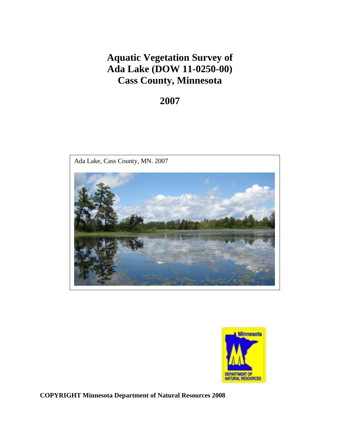# **Aquatic Vegetation Survey of Ada Lake (DOW 11-0250-00) Cass County, Minnesota**

# **2007**





**COPYRIGHT Minnesota Department of Natural Resources 2008**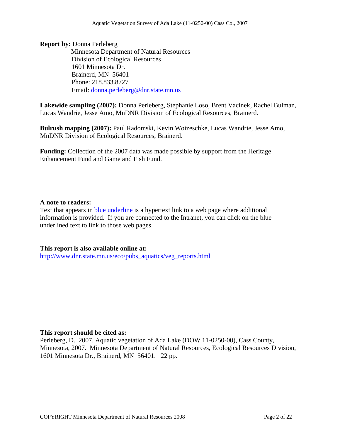**Report by:** Donna Perleberg Minnesota Department of Natural Resources Division of Ecological Resources 1601 Minnesota Dr. Brainerd, MN 56401 Phone: 218.833.8727 Email: donna.perleberg@dnr.state.mn.us

**Lakewide sampling (2007):** Donna Perleberg, Stephanie Loso, Brent Vacinek, Rachel Bulman, Lucas Wandrie, Jesse Amo, MnDNR Division of Ecological Resources, Brainerd.

**Bulrush mapping (2007):** Paul Radomski, Kevin Woizeschke, Lucas Wandrie, Jesse Amo, MnDNR Division of Ecological Resources, Brainerd.

**Funding:** Collection of the 2007 data was made possible by support from the Heritage Enhancement Fund and Game and Fish Fund.

#### **A note to readers:**

Text that appears in blue underline is a hypertext link to a web page where additional information is provided. If you are connected to the Intranet, you can click on the blue underlined text to link to those web pages.

**This report is also available online at:**  http://www.dnr.state.mn.us/eco/pubs\_aquatics/veg\_reports.html

#### **This report should be cited as:**

Perleberg, D. 2007. Aquatic vegetation of Ada Lake (DOW 11-0250-00), Cass County, Minnesota, 2007. Minnesota Department of Natural Resources, Ecological Resources Division, 1601 Minnesota Dr., Brainerd, MN 56401. 22 pp.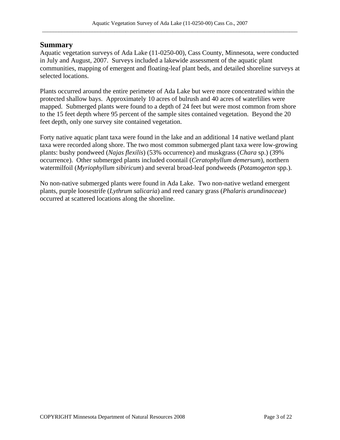## **Summary**

Aquatic vegetation surveys of Ada Lake (11-0250-00), Cass County, Minnesota, were conducted in July and August, 2007. Surveys included a lakewide assessment of the aquatic plant communities, mapping of emergent and floating-leaf plant beds, and detailed shoreline surveys at selected locations.

Plants occurred around the entire perimeter of Ada Lake but were more concentrated within the protected shallow bays. Approximately 10 acres of bulrush and 40 acres of waterlilies were mapped. Submerged plants were found to a depth of 24 feet but were most common from shore to the 15 feet depth where 95 percent of the sample sites contained vegetation. Beyond the 20 feet depth, only one survey site contained vegetation.

Forty native aquatic plant taxa were found in the lake and an additional 14 native wetland plant taxa were recorded along shore. The two most common submerged plant taxa were low-growing plants: bushy pondweed (*Najas flexilis*) (53% occurrence) and muskgrass (*Chara* sp.) (39% occurrence). Other submerged plants included coontail (*Ceratophyllum demersum*), northern watermilfoil (*Myriophyllum sibiricum*) and several broad-leaf pondweeds (*Potamogeton* spp.).

No non-native submerged plants were found in Ada Lake. Two non-native wetland emergent plants, purple loosestrife (*Lythrum salicaria*) and reed canary grass (*Phalaris arundinaceae*) occurred at scattered locations along the shoreline.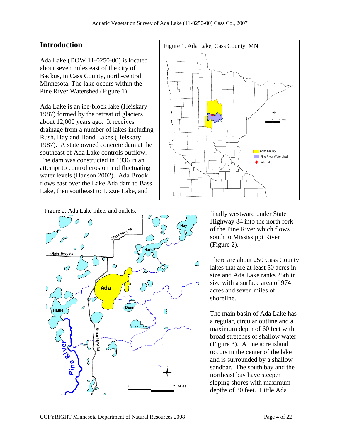# **Introduction Figure 1. Ada Lake, Cass County, MN**

Ada Lake (DOW 11-0250-00) is located about seven miles east of the city of Backus, in Cass County, north-central Minnesota. The lake occurs within the Pine River Watershed (Figure 1).

Ada Lake is an ice-block lake (Heiskary 1987) formed by the retreat of glaciers about 12,000 years ago. It receives drainage from a number of lakes including Rush, Hay and Hand Lakes (Heiskary 1987). A state owned concrete dam at the southeast of Ada Lake controls outflow. The dam was constructed in 1936 in an attempt to control erosion and fluctuating water levels (Hanson 2002). Ada Brook flows east over the Lake Ada dam to Bass Lake, then southeast to Lizzie Lake, and



The main basin of Ada Lake has a regular, circular outline and a maximum depth of 60 feet with broad stretches of shallow water (Figure 3). A one acre island occurs in the center of the lake and is surrounded by a shallow sandbar. The south bay and the northeast bay have steeper sloping shores with maximum depths of 30 feet. Little Ada

shoreline.

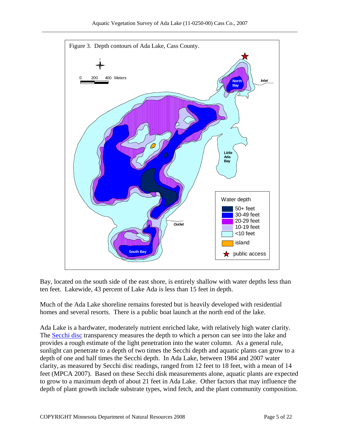

Bay, located on the south side of the east shore, is entirely shallow with water depths less than ten feet. Lakewide, 43 percent of Lake Ada is less than 15 feet in depth.

Much of the Ada Lake shoreline remains forested but is heavily developed with residential homes and several resorts. There is a public boat launch at the north end of the lake.

Ada Lake is a hardwater, moderately nutrient enriched lake, with relatively high water clarity. The Secchi disc transparency measures the depth to which a person can see into the lake and provides a rough estimate of the light penetration into the water column. As a general rule, sunlight can penetrate to a depth of two times the Secchi depth and aquatic plants can grow to a depth of one and half times the Secchi depth. In Ada Lake, between 1984 and 2007 water clarity, as measured by Secchi disc readings, ranged from 12 feet to 18 feet, with a mean of 14 feet (MPCA 2007). Based on these Secchi disk measurements alone, aquatic plants are expected to grow to a maximum depth of about 21 feet in Ada Lake. Other factors that may influence the depth of plant growth include substrate types, wind fetch, and the plant community composition.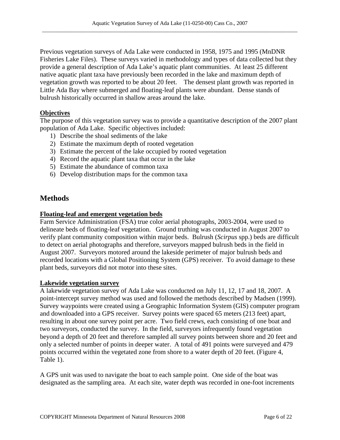Previous vegetation surveys of Ada Lake were conducted in 1958, 1975 and 1995 (MnDNR Fisheries Lake Files). These surveys varied in methodology and types of data collected but they provide a general description of Ada Lake's aquatic plant communities. At least 25 different native aquatic plant taxa have previously been recorded in the lake and maximum depth of vegetation growth was reported to be about 20 feet. The densest plant growth was reported in Little Ada Bay where submerged and floating-leaf plants were abundant. Dense stands of bulrush historically occurred in shallow areas around the lake.

## **Objectives**

The purpose of this vegetation survey was to provide a quantitative description of the 2007 plant population of Ada Lake. Specific objectives included:

- 1) Describe the shoal sediments of the lake
- 2) Estimate the maximum depth of rooted vegetation
- 3) Estimate the percent of the lake occupied by rooted vegetation
- 4) Record the aquatic plant taxa that occur in the lake
- 5) Estimate the abundance of common taxa
- 6) Develop distribution maps for the common taxa

# **Methods**

#### **Floating-leaf and emergent vegetation beds**

Farm Service Administration (FSA) true color aerial photographs, 2003-2004, were used to delineate beds of floating-leaf vegetation. Ground truthing was conducted in August 2007 to verify plant community composition within major beds. Bulrush (*Scirpus* spp.) beds are difficult to detect on aerial photographs and therefore, surveyors mapped bulrush beds in the field in August 2007. Surveyors motored around the lakeside perimeter of major bulrush beds and recorded locations with a Global Positioning System (GPS) receiver. To avoid damage to these plant beds, surveyors did not motor into these sites.

#### **Lakewide vegetation survey**

A lakewide vegetation survey of Ada Lake was conducted on July 11, 12, 17 and 18, 2007. A point-intercept survey method was used and followed the methods described by Madsen (1999). Survey waypoints were created using a Geographic Information System (GIS) computer program and downloaded into a GPS receiver. Survey points were spaced 65 meters (213 feet) apart, resulting in about one survey point per acre. Two field crews, each consisting of one boat and two surveyors, conducted the survey. In the field, surveyors infrequently found vegetation beyond a depth of 20 feet and therefore sampled all survey points between shore and 20 feet and only a selected number of points in deeper water. A total of 491 points were surveyed and 479 points occurred within the vegetated zone from shore to a water depth of 20 feet. (Figure 4, Table 1).

A GPS unit was used to navigate the boat to each sample point. One side of the boat was designated as the sampling area. At each site, water depth was recorded in one-foot increments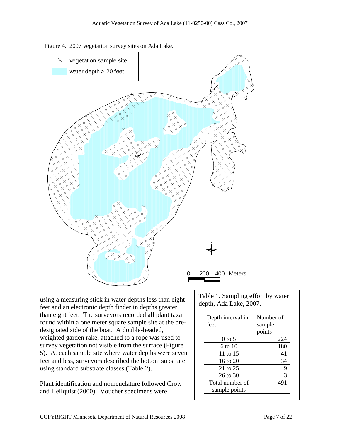

feet and an electronic depth finder in depths greater than eight feet. The surveyors recorded all plant taxa found within a one meter square sample site at the predesignated side of the boat. A double-headed, weighted garden rake, attached to a rope was used to survey vegetation not visible from the surface (Figure 5). At each sample site where water depths were seven feet and less, surveyors described the bottom substrate using standard substrate classes (Table 2).

Plant identification and nomenclature followed Crow and Hellquist (2000). Voucher specimens were

Table 1. Sampling effort by water depth, Ada Lake, 2007.

| Depth interval in | Number of |
|-------------------|-----------|
| feet              | sample    |
|                   | points    |
| $0$ to 5          | 224       |
| 6 to 10           | 180       |
| 11 to 15          | 41        |
| 16 to $20$        | 34        |
| 21 to 25          | 9         |
| 26 to 30          | 3         |
| Total number of   | 491       |
| sample points     |           |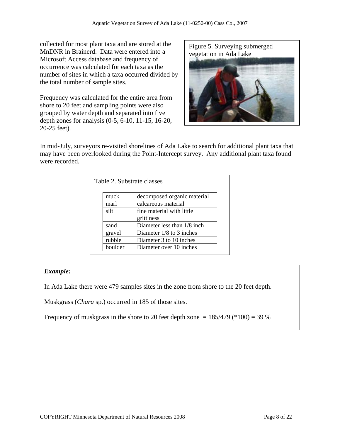collected for most plant taxa and are stored at the MnDNR in Brainerd. Data were entered into a Microsoft Access database and frequency of occurrence was calculated for each taxa as the number of sites in which a taxa occurred divided by the total number of sample sites.

Frequency was calculated for the entire area from shore to 20 feet and sampling points were also grouped by water depth and separated into five depth zones for analysis (0-5, 6-10, 11-15, 16-20, 20-25 feet).



In mid-July, surveyors re-visited shorelines of Ada Lake to search for additional plant taxa that may have been overlooked during the Point-Intercept survey. Any additional plant taxa found were recorded.

| Table 2. Substrate classes |                             |  |
|----------------------------|-----------------------------|--|
| muck                       | decomposed organic material |  |
| marl                       | calcareous material         |  |
| silt                       | fine material with little   |  |
|                            | grittiness                  |  |
| sand                       | Diameter less than 1/8 inch |  |
| gravel                     | Diameter $1/8$ to 3 inches  |  |
| rubble                     | Diameter 3 to 10 inches     |  |
| boulder                    | Diameter over 10 inches     |  |

## *Example:*

In Ada Lake there were 479 samples sites in the zone from shore to the 20 feet depth.

Muskgrass (*Chara* sp.) occurred in 185 of those sites.

Frequency of muskgrass in the shore to 20 feet depth zone  $= 185/479$  (\*100)  $= 39$  %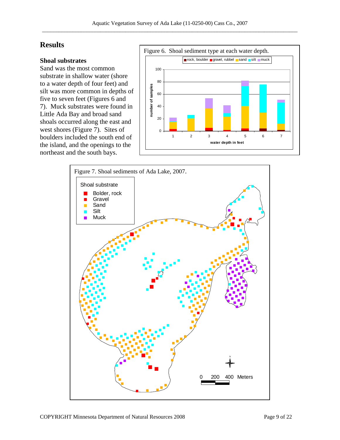# **Results**

#### **Shoal substrates**

Sand was the most common substrate in shallow water (shore to a water depth of four feet) and silt was more common in depths of five to seven feet (Figures 6 and 7). Muck substrates were found in Little Ada Bay and broad sand shoals occurred along the east and west shores (Figure 7). Sites of boulders included the south end of the island, and the openings to the northeast and the south bays.



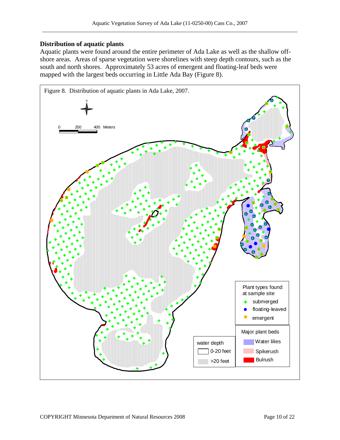#### **Distribution of aquatic plants**

Aquatic plants were found around the entire perimeter of Ada Lake as well as the shallow offshore areas. Areas of sparse vegetation were shorelines with steep depth contours, such as the south and north shores. Approximately 53 acres of emergent and floating-leaf beds were mapped with the largest beds occurring in Little Ada Bay (Figure 8).

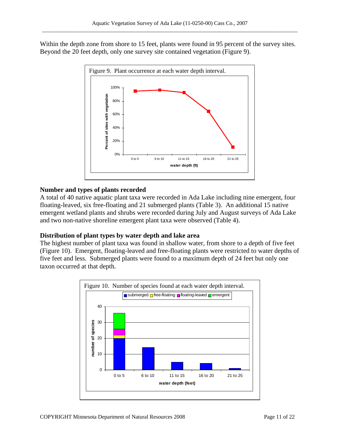Within the depth zone from shore to 15 feet, plants were found in 95 percent of the survey sites. Beyond the 20 feet depth, only one survey site contained vegetation (Figure 9).



#### **Number and types of plants recorded**

A total of 40 native aquatic plant taxa were recorded in Ada Lake including nine emergent, four floating-leaved, six free-floating and 21 submerged plants (Table 3). An additional 15 native emergent wetland plants and shrubs were recorded during July and August surveys of Ada Lake and two non-native shoreline emergent plant taxa were observed (Table 4).

#### **Distribution of plant types by water depth and lake area**

The highest number of plant taxa was found in shallow water, from shore to a depth of five feet (Figure 10). Emergent, floating-leaved and free-floating plants were restricted to water depths of five feet and less. Submerged plants were found to a maximum depth of 24 feet but only one taxon occurred at that depth.

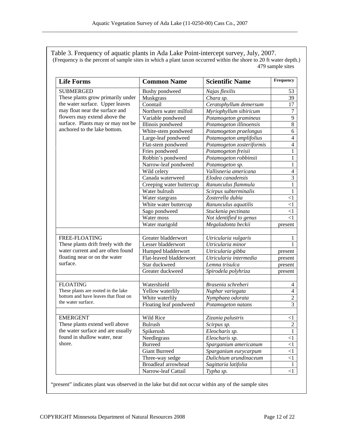Table 3. Frequency of aquatic plants in Ada Lake Point-intercept survey, July, 2007. (Frequency is the percent of sample sites in which a plant taxon occurred within the shore to 20 ft water depth.) 479 sample sites

| <b>Life Forms</b>                    | <b>Common Name</b>       | <b>Scientific Name</b>    | Frequency      |
|--------------------------------------|--------------------------|---------------------------|----------------|
| <b>SUBMERGED</b>                     | Bushy pondweed           | Najas flexilis            | 53             |
| These plants grow primarily under    | Muskgrass                | Chara sp.                 | 39             |
| the water surface. Upper leaves      | Coontail                 | Ceratophyllum demersum    | 17             |
| may float near the surface and       | Northern water milfoil   | Myriophyllum sibiricum    | $\overline{7}$ |
| flowers may extend above the         | Variable pondweed        | Potamogeton gramineus     | $\overline{9}$ |
| surface. Plants may or may not be    | Illinois pondweed        | Potamogeton illinoensis   | $\overline{8}$ |
| anchored to the lake bottom.         | White-stem pondweed      | Potamogeton praelongus    | $\sqrt{6}$     |
|                                      | Large-leaf pondweed      | Potamogeton amplifolius   | $\overline{4}$ |
|                                      | Flat-stem pondweed       | Potamogeton zosteriformis | $\overline{4}$ |
|                                      | Fries pondweed           | Potamogeton freisii       | $\mathbf{1}$   |
|                                      | Robbin's pondweed        | Potamogeton robbinsii     | $\mathbf{1}$   |
|                                      | Narrow-leaf pondweed     | Potamogeton sp.           | $\mathbf{1}$   |
|                                      | Wild celery              | Vallisneria americana     | $\overline{4}$ |
|                                      | Canada waterweed         | Elodea canadensis         | $\overline{3}$ |
|                                      | Creeping water buttercup | Ranunculus flammula       | $\mathbf{1}$   |
|                                      | Water bulrush            | Scirpus subterminalis     | 1              |
|                                      | Water stargrass          | Zosterella dubia          | <1             |
|                                      | White water buttercup    | Ranunculus aquatilis      | <1             |
|                                      | Sago pondweed            | Stuckenia pectinata       | $<$ 1          |
|                                      | Water moss               | Not identified to genus   | $\leq$ 1       |
|                                      | Water marigold           | Megaladonta beckii        | present        |
|                                      |                          |                           |                |
| FREE-FLOATING                        | Greater bladderwort      | Utricularia vulgaris      |                |
| These plants drift freely with the   | Lesser bladderwort       | Utricularia minor         | 1              |
| water current and are often found    | Humped bladderwort       | Utricularia gibba         | present        |
| floating near or on the water        | Flat-leaved bladderwort  | Utricularia intermedia    | present        |
| surface.                             | Star duckweed            | Lemna trisulca            | present        |
|                                      | Greater duckweed         | Spirodela polyhriza       | present        |
|                                      |                          |                           |                |
| <b>FLOATING</b>                      | Watershield              | Brasenia schreberi        | $\overline{4}$ |
| These plants are rooted in the lake  | Yellow waterlily         | Nuphar variegata          | $\overline{4}$ |
| bottom and have leaves that float on | White waterlily          | Nymphaea odorata          | $\overline{2}$ |
| the water surface.                   | Floating leaf pondweed   | Potamogeton natans        | 3              |
|                                      |                          |                           |                |
| <b>EMERGENT</b>                      | Wild Rice                | Zizania palustris         | $<$ 1          |
| These plants extend well above       | <b>Bulrush</b>           | Scirpus sp.               | $\sqrt{2}$     |
| the water surface and are usually    | Spikerush                | Eleocharis sp.            | $\mathbf{1}$   |
| found in shallow water, near         | Needlegrass              | Eleocharis sp.            | $\leq$ 1       |
| shore.                               | <b>Burreed</b>           | Sparganium americanum     | $\leq$ 1       |
|                                      | <b>Giant Burreed</b>     | Sparganium eurycarpum     | $<$ 1          |
|                                      | Three-way sedge          | Dulichium arundinaceum    | $\leq$ 1       |
|                                      | Broadleaf arrowhead      | Sagittaria latifolia      | -1             |
|                                      | Narrow-leaf Cattail      | Typha sp.                 | $\leq$ 1       |

"present" indicates plant was observed in the lake but did not occur within any of the sample sites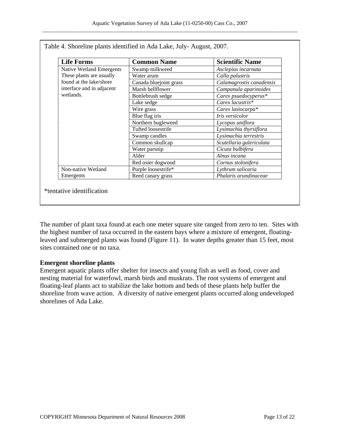| <b>Life Forms</b>                                                                                                                | <b>Common Name</b>     | <b>Scientific Name</b>   |
|----------------------------------------------------------------------------------------------------------------------------------|------------------------|--------------------------|
| <b>Native Wetland Emergents</b><br>These plants are usually<br>found at the lake/shore<br>interface and in adjacent<br>wetlands. | Swamp milkweed         | Asclepias incarnata      |
|                                                                                                                                  | Water arum             | Calla palustris          |
|                                                                                                                                  | Canada bluejoint grass | Calamagrostis canadensis |
|                                                                                                                                  | Marsh bellflower       | Campanula aparinoides    |
|                                                                                                                                  | Bottlebrush sedge      | Carex psuedocyperus*     |
|                                                                                                                                  | Lake sedge             | Carex lacustris*         |
|                                                                                                                                  | Wire grass             | Carex lasiocarpa*        |
|                                                                                                                                  | Blue flag iris         | Iris versicolor          |
|                                                                                                                                  | Northern bugleweed     | Lycopus uniflora         |
|                                                                                                                                  | Tufted loosestrife     | Lysimachia thyrsiflora   |
|                                                                                                                                  | Swamp candles          | Lysimachia terrestris    |
|                                                                                                                                  | Common skullcap        | Scutellaria galericulata |
|                                                                                                                                  | Water parsnip          | Cicuta bulbifera         |
|                                                                                                                                  | Alder                  | Alnus incana             |
|                                                                                                                                  | Red osier dogwood      | Cornus stolonifera       |
| Non-native Wetland                                                                                                               | Purple loosestrife*    | Lythrum salicaria        |
| Emergents                                                                                                                        | Reed canary grass      | Phalaris arundinaceae    |

Table 4. Shoreline plants identified in Ada Lake, July- August, 2007.

The number of plant taxa found at each one meter square site ranged from zero to ten. Sites with the highest number of taxa occurred in the eastern bays where a mixture of emergent, floatingleaved and submerged plants was found (Figure 11). In water depths greater than 15 feet, most sites contained one or no taxa.

# **Emergent shoreline plants**

Emergent aquatic plants offer shelter for insects and young fish as well as food, cover and nesting material for waterfowl, marsh birds and muskrats. The root systems of emergent and floating-leaf plants act to stabilize the lake bottom and beds of these plants help buffer the shoreline from wave action. A diversity of native emergent plants occurred along undeveloped shorelines of Ada Lake.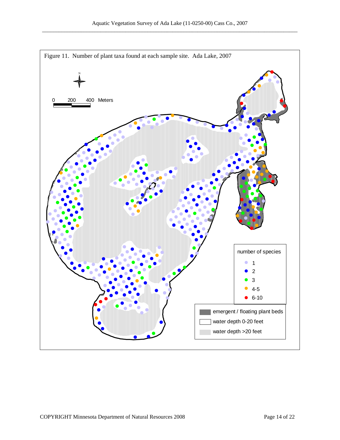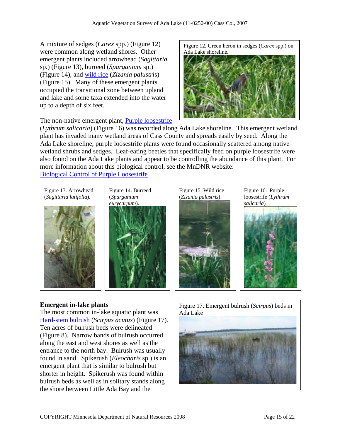A mixture of sedges (*Carex* spp.) (Figure 12) were common along wetland shores. Other emergent plants included arrowhead (*Sagittaria* sp.) (Figure 13), burreed (*Sparganium* sp.) (Figure 14), and wild rice (*Zizania palustri*s) (Figure 15). Many of these emergent plants occupied the transitional zone between upland and lake and some taxa extended into the water up to a depth of six feet.

The non-native emergent plant, **Purple loosestrife** 

Figure 12. Green heron in sedges (*Carex* spp.) on Ada Lake shoreline.



(*Lythrum salicaria*) (Figure 16) was recorded along Ada Lake shoreline. This emergent wetland plant has invaded many wetland areas of Cass County and spreads easily by seed. Along the Ada Lake shoreline, purple loosestrife plants were found occasionally scattered among native wetland shrubs and sedges. Leaf-eating beetles that specifically feed on purple loosestrife were also found on the Ada Lake plants and appear to be controlling the abundance of this plant. For more information about this biological control, see the MnDNR website: Biological Control of Purple Loosestrife









The most common in-lake aquatic plant was  $\overrightarrow{A}$  Ada Lake Hard-stem bulrush (*Scirpus acutus*) (Figure 17). Ten acres of bulrush beds were delineated (Figure 8). Narrow bands of bulrush occurred along the east and west shores as well as the entrance to the north bay. Bulrush was usually found in sand. Spikerush (*Eleocharis* sp.) is an emergent plant that is similar to bulrush but shorter in height. Spikerush was found within bulrush beds as well as in solitary stands along the shore between Little Ada Bay and the

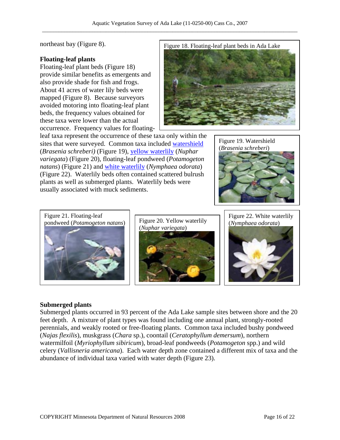northeast bay (Figure 8).

#### **Floating-leaf plants**

Floating-leaf plant beds (Figure 18) provide similar benefits as emergents and also provide shade for fish and frogs. About 41 acres of water lily beds were mapped (Figure 8). Because surveyors avoided motoring into floating-leaf plant beds, the frequency values obtained for these taxa were lower than the actual occurrence. Frequency values for floating-



leaf taxa represent the occurrence of these taxa only within the sites that were surveyed. Common taxa included watershield (*Brasenia schreberi)* (Figure 19), yellow waterlily (*Nuphar variegata*) (Figure 20), floating-leaf pondweed (*Potamogeton natans*) (Figure 21) and white waterlily (*Nymphaea odorata*) (Figure 22). Waterlily beds often contained scattered bulrush plants as well as submerged plants. Waterlily beds were usually associated with muck sediments.





Figure 20. Yellow waterlily  $(Nymphaea odorata)$ (*Nuphar variegata*)



Figure 22. White waterlily



#### **Submerged plants**

Submerged plants occurred in 93 percent of the Ada Lake sample sites between shore and the 20 feet depth. A mixture of plant types was found including one annual plant, strongly-rooted perennials, and weakly rooted or free-floating plants. Common taxa included bushy pondweed (*Najas flexilis*), muskgrass (*Chara* sp.), coontail (*Ceratophyllum demersum*), northern watermilfoil (*Myriophyllum sibiricum*), broad-leaf pondweeds (*Potamogeton* spp.) and wild celery (*Vallisneria americana*). Each water depth zone contained a different mix of taxa and the abundance of individual taxa varied with water depth (Figure 23).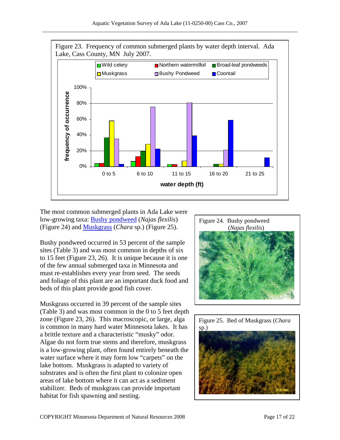

The most common submerged plants in Ada Lake were low-growing taxa: Bushy pondweed (*Najas flexilis*) (Figure 24) and Muskgrass (*Chara* sp.) (Figure 25). (*Najas flexilis*)

Bushy pondweed occurred in 53 percent of the sample sites (Table 3) and was most common in depths of six to 15 feet (Figure 23, 26). It is unique because it is one of the few annual submerged taxa in Minnesota and must re-establishes every year from seed. The seeds and foliage of this plant are an important duck food and beds of this plant provide good fish cover.

Muskgrass occurred in 39 percent of the sample sites (Table 3) and was most common in the 0 to 5 feet depth zone (Figure 23, 26). This macroscopic, or large, alga is common in many hard water Minnesota lakes. It has a brittle texture and a characteristic "musky" odor. Algae do not form true stems and therefore, muskgrass is a low-growing plant, often found entirely beneath the water surface where it may form low "carpets" on the lake bottom. Muskgrass is adapted to variety of substrates and is often the first plant to colonize open areas of lake bottom where it can act as a sediment stabilizer. Beds of muskgrass can provide important habitat for fish spawning and nesting.



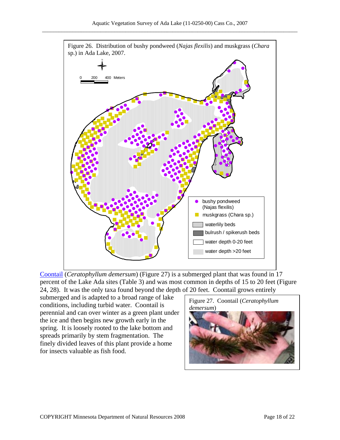

Coontail (*Ceratophyllum demersum*) (Figure 27) is a submerged plant that was found in 17 percent of the Lake Ada sites (Table 3) and was most common in depths of 15 to 20 feet (Figure 24, 28). It was the only taxa found beyond the depth of 20 feet. Coontail grows entirely

submerged and is adapted to a broad range of lake conditions, including turbid water. Coontail is perennial and can over winter as a green plant under the ice and then begins new growth early in the spring. It is loosely rooted to the lake bottom and spreads primarily by stem fragmentation. The finely divided leaves of this plant provide a home for insects valuable as fish food.

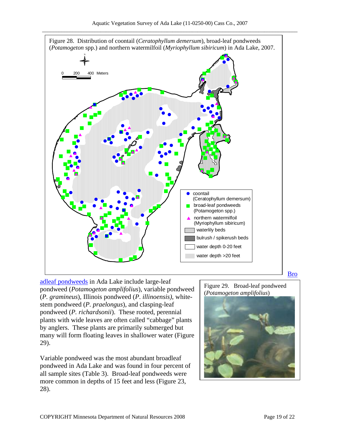

adleaf pondweeds in Ada Lake include large-leaf pondweed (*Potamogeton amplifolius*), variable pondweed (*P. gramineus*), Illinois pondweed (*P*. *illinoensis)*, whitestem pondweed (*P. praelongus*), and clasping-leaf pondweed (*P. richardsonii*). These rooted, perennial plants with wide leaves are often called "cabbage" plants by anglers. These plants are primarily submerged but many will form floating leaves in shallower water (Figure 29).

Variable pondweed was the most abundant broadleaf pondweed in Ada Lake and was found in four percent of all sample sites (Table 3). Broad-leaf pondweeds were more common in depths of 15 feet and less (Figure 23, 28).

Figure 29. Broad-leaf pondweed (*Potamogeton amplifolius*)

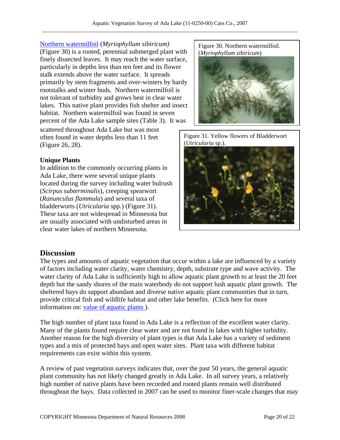Northern watermilfoil (*Myriophyllum sibiricum)* (Figure 30) is a rooted, perennial submerged plant with finely dissected leaves. It may reach the water surface, particularly in depths less than ten feet and its flower stalk extends above the water surface. It spreads primarily by stem fragments and over-winters by hardy rootstalks and winter buds. Northern watermilfoil is not tolerant of turbidity and grows best in clear water lakes. This native plant provides fish shelter and insect habitat. Northern watermilfoil was found in seven percent of the Ada Lake sample sites (Table 3). It was scattered throughout Ada Lake but was most often found in water depths less than 11 feet (Figure 26, 28).

#### **Unique Plants**

In addition to the commonly occurring plants in Ada Lake, there were several unique plants located during the survey including water bulrush (*Scirpus subterminalis*), creeping spearwort (*Ranunculus flammula*) and several taxa of bladderworts (*Utricularia* spp.) (Figure 31). These taxa are not widespread in Minnesota but are usually associated with undisturbed areas in clear water lakes of northern Minnesota.

Figure 30. Northern watermilfoil. (*Myriophyllum sibiricum*)







# **Discussion**

The types and amounts of aquatic vegetation that occur within a lake are influenced by a variety of factors including water clarity, water chemistry, depth, substrate type and wave activity. The water clarity of Ada Lake is sufficiently high to allow aquatic plant growth to at least the 20 feet depth but the sandy shores of the main waterbody do not support lush aquatic plant growth. The sheltered bays do support abundant and diverse native aquatic plant communities that in turn, provide critical fish and wildlife habitat and other lake benefits. (Click here for more information on: value of aquatic plants ).

The high number of plant taxa found in Ada Lake is a reflection of the excellent water clarity. Many of the plants found require clear water and are not found in lakes with higher turbidity. Another reason for the high diversity of plant types is that Ada Lake has a variety of sediment types and a mix of protected bays and open water sites. Plant taxa with different habitat requirements can exist within this system.

A review of past vegetation surveys indicates that, over the past 50 years, the general aquatic plant community has not likely changed greatly in Ada Lake. In all survey years, a relatively high number of native plants have been recorded and rooted plants remain well distributed throughout the bays. Data collected in 2007 can be used to monitor finer-scale changes that may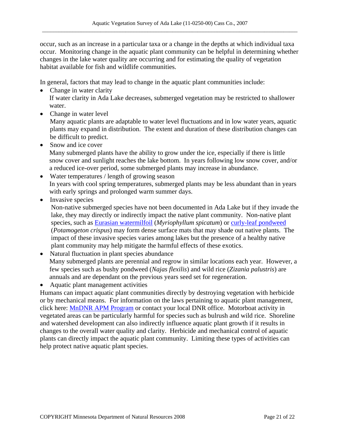occur, such as an increase in a particular taxa or a change in the depths at which individual taxa occur. Monitoring change in the aquatic plant community can be helpful in determining whether changes in the lake water quality are occurring and for estimating the quality of vegetation habitat available for fish and wildlife communities.

In general, factors that may lead to change in the aquatic plant communities include:

- Change in water clarity If water clarity in Ada Lake decreases, submerged vegetation may be restricted to shallower water.
- Change in water level

Many aquatic plants are adaptable to water level fluctuations and in low water years, aquatic plants may expand in distribution. The extent and duration of these distribution changes can be difficult to predict.

- Snow and ice cover Many submerged plants have the ability to grow under the ice, especially if there is little snow cover and sunlight reaches the lake bottom. In years following low snow cover, and/or a reduced ice-over period, some submerged plants may increase in abundance.
- Water temperatures / length of growing season In years with cool spring temperatures, submerged plants may be less abundant than in years with early springs and prolonged warm summer days.

• Invasive species

Non-native submerged species have not been documented in Ada Lake but if they invade the lake, they may directly or indirectly impact the native plant community. Non-native plant species, such as Eurasian watermilfoil (*Myriophyllum spicatum*) or curly-leaf pondweed (*Potamogeton crispus*) may form dense surface mats that may shade out native plants. The impact of these invasive species varies among lakes but the presence of a healthy native plant community may help mitigate the harmful effects of these exotics.

- Natural fluctuation in plant species abundance Many submerged plants are perennial and regrow in similar locations each year. However, a few species such as bushy pondweed (*Najas flexilis*) and wild rice (*Zizania palustris*) are annuals and are dependant on the previous years seed set for regeneration.
- Aquatic plant management activities

Humans can impact aquatic plant communities directly by destroying vegetation with herbicide or by mechanical means. For information on the laws pertaining to aquatic plant management, click here: MnDNR APM Program or contact your local DNR office. Motorboat activity in vegetated areas can be particularly harmful for species such as bulrush and wild rice. Shoreline and watershed development can also indirectly influence aquatic plant growth if it results in changes to the overall water quality and clarity. Herbicide and mechanical control of aquatic plants can directly impact the aquatic plant community. Limiting these types of activities can help protect native aquatic plant species.